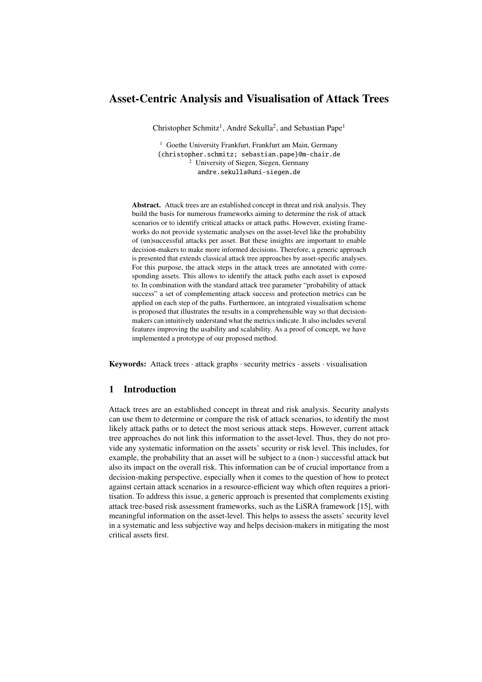# Asset-Centric Analysis and Visualisation of Attack Trees

Christopher Schmitz<sup>1</sup>, André Sekulla<sup>2</sup>, and Sebastian Pape<sup>1</sup>

<sup>1</sup> Goethe University Frankfurt, Frankfurt am Main, Germany {christopher.schmitz; sebastian.pape}@m-chair.de <sup>2</sup> University of Siegen, Siegen, Germany andre.sekulla@uni-siegen.de

Abstract. Attack trees are an established concept in threat and risk analysis. They build the basis for numerous frameworks aiming to determine the risk of attack scenarios or to identify critical attacks or attack paths. However, existing frameworks do not provide systematic analyses on the asset-level like the probability of (un)successful attacks per asset. But these insights are important to enable decision-makers to make more informed decisions. Therefore, a generic approach is presented that extends classical attack tree approaches by asset-specific analyses. For this purpose, the attack steps in the attack trees are annotated with corresponding assets. This allows to identify the attack paths each asset is exposed to. In combination with the standard attack tree parameter "probability of attack success" a set of complementing attack success and protection metrics can be applied on each step of the paths. Furthermore, an integrated visualisation scheme is proposed that illustrates the results in a comprehensible way so that decisionmakers can intuitively understand what the metrics indicate. It also includes several features improving the usability and scalability. As a proof of concept, we have implemented a prototype of our proposed method.

Keywords: Attack trees  $\cdot$  attack graphs  $\cdot$  security metrics  $\cdot$  assets  $\cdot$  visualisation

# 1 Introduction

Attack trees are an established concept in threat and risk analysis. Security analysts can use them to determine or compare the risk of attack scenarios, to identify the most likely attack paths or to detect the most serious attack steps. However, current attack tree approaches do not link this information to the asset-level. Thus, they do not provide any systematic information on the assets' security or risk level. This includes, for example, the probability that an asset will be subject to a (non-) successful attack but also its impact on the overall risk. This information can be of crucial importance from a decision-making perspective, especially when it comes to the question of how to protect against certain attack scenarios in a resource-efficient way which often requires a prioritisation. To address this issue, a generic approach is presented that complements existing attack tree-based risk assessment frameworks, such as the LiSRA framework [\[15\]](#page-17-0), with meaningful information on the asset-level. This helps to assess the assets' security level in a systematic and less subjective way and helps decision-makers in mitigating the most critical assets first.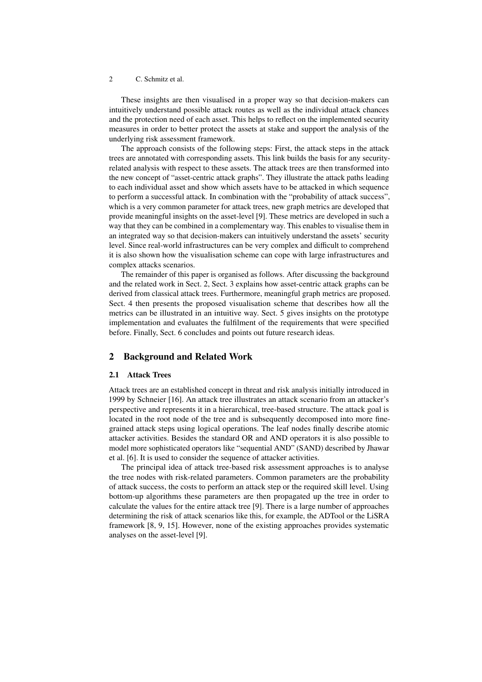These insights are then visualised in a proper way so that decision-makers can intuitively understand possible attack routes as well as the individual attack chances and the protection need of each asset. This helps to reflect on the implemented security measures in order to better protect the assets at stake and support the analysis of the underlying risk assessment framework.

The approach consists of the following steps: First, the attack steps in the attack trees are annotated with corresponding assets. This link builds the basis for any securityrelated analysis with respect to these assets. The attack trees are then transformed into the new concept of "asset-centric attack graphs". They illustrate the attack paths leading to each individual asset and show which assets have to be attacked in which sequence to perform a successful attack. In combination with the "probability of attack success", which is a very common parameter for attack trees, new graph metrics are developed that provide meaningful insights on the asset-level [\[9\]](#page-17-1). These metrics are developed in such a way that they can be combined in a complementary way. This enables to visualise them in an integrated way so that decision-makers can intuitively understand the assets' security level. Since real-world infrastructures can be very complex and difficult to comprehend it is also shown how the visualisation scheme can cope with large infrastructures and complex attacks scenarios.

The remainder of this paper is organised as follows. After discussing the background and the related work in Sect. [2,](#page-1-0) Sect. [3](#page-2-0) explains how asset-centric attack graphs can be derived from classical attack trees. Furthermore, meaningful graph metrics are proposed. Sect. [4](#page-10-0) then presents the proposed visualisation scheme that describes how all the metrics can be illustrated in an intuitive way. Sect. [5](#page-14-0) gives insights on the prototype implementation and evaluates the fulfilment of the requirements that were specified before. Finally, Sect. [6](#page-16-0) concludes and points out future research ideas.

## <span id="page-1-0"></span>2 Background and Related Work

### 2.1 Attack Trees

Attack trees are an established concept in threat and risk analysis initially introduced in 1999 by Schneier [\[16\]](#page-17-2). An attack tree illustrates an attack scenario from an attacker's perspective and represents it in a hierarchical, tree-based structure. The attack goal is located in the root node of the tree and is subsequently decomposed into more finegrained attack steps using logical operations. The leaf nodes finally describe atomic attacker activities. Besides the standard OR and AND operators it is also possible to model more sophisticated operators like "sequential AND" (SAND) described by Jhawar et al. [\[6\]](#page-17-3). It is used to consider the sequence of attacker activities.

The principal idea of attack tree-based risk assessment approaches is to analyse the tree nodes with risk-related parameters. Common parameters are the probability of attack success, the costs to perform an attack step or the required skill level. Using bottom-up algorithms these parameters are then propagated up the tree in order to calculate the values for the entire attack tree [\[9\]](#page-17-1). There is a large number of approaches determining the risk of attack scenarios like this, for example, the ADTool or the LiSRA framework [\[8,](#page-17-4) [9,](#page-17-1) [15\]](#page-17-0). However, none of the existing approaches provides systematic analyses on the asset-level [\[9\]](#page-17-1).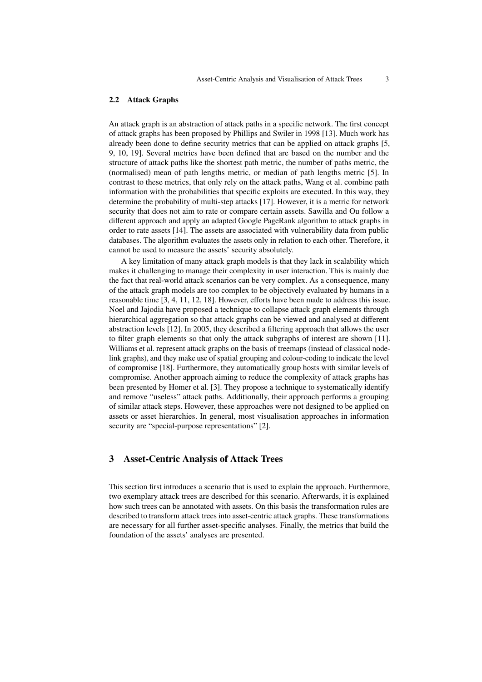### 2.2 Attack Graphs

An attack graph is an abstraction of attack paths in a specific network. The first concept of attack graphs has been proposed by Phillips and Swiler in 1998 [\[13\]](#page-17-5). Much work has already been done to define security metrics that can be applied on attack graphs [\[5,](#page-16-1) [9,](#page-17-1) [10,](#page-17-6) [19\]](#page-17-7). Several metrics have been defined that are based on the number and the structure of attack paths like the shortest path metric, the number of paths metric, the (normalised) mean of path lengths metric, or median of path lengths metric [\[5\]](#page-16-1). In contrast to these metrics, that only rely on the attack paths, Wang et al. combine path information with the probabilities that specific exploits are executed. In this way, they determine the probability of multi-step attacks [\[17\]](#page-17-8). However, it is a metric for network security that does not aim to rate or compare certain assets. Sawilla and Ou follow a different approach and apply an adapted Google PageRank algorithm to attack graphs in order to rate assets [\[14\]](#page-17-9). The assets are associated with vulnerability data from public databases. The algorithm evaluates the assets only in relation to each other. Therefore, it cannot be used to measure the assets' security absolutely.

A key limitation of many attack graph models is that they lack in scalability which makes it challenging to manage their complexity in user interaction. This is mainly due the fact that real-world attack scenarios can be very complex. As a consequence, many of the attack graph models are too complex to be objectively evaluated by humans in a reasonable time [\[3,](#page-16-2) [4,](#page-16-3) [11,](#page-17-10) [12,](#page-17-11) [18\]](#page-17-12). However, efforts have been made to address this issue. Noel and Jajodia have proposed a technique to collapse attack graph elements through hierarchical aggregation so that attack graphs can be viewed and analysed at different abstraction levels [\[12\]](#page-17-11). In 2005, they described a filtering approach that allows the user to filter graph elements so that only the attack subgraphs of interest are shown [\[11\]](#page-17-10). Williams et al. represent attack graphs on the basis of treemaps (instead of classical nodelink graphs), and they make use of spatial grouping and colour-coding to indicate the level of compromise [\[18\]](#page-17-12). Furthermore, they automatically group hosts with similar levels of compromise. Another approach aiming to reduce the complexity of attack graphs has been presented by Homer et al. [\[3\]](#page-16-2). They propose a technique to systematically identify and remove "useless" attack paths. Additionally, their approach performs a grouping of similar attack steps. However, these approaches were not designed to be applied on assets or asset hierarchies. In general, most visualisation approaches in information security are "special-purpose representations" [\[2\]](#page-16-4).

# <span id="page-2-0"></span>3 Asset-Centric Analysis of Attack Trees

This section first introduces a scenario that is used to explain the approach. Furthermore, two exemplary attack trees are described for this scenario. Afterwards, it is explained how such trees can be annotated with assets. On this basis the transformation rules are described to transform attack trees into asset-centric attack graphs. These transformations are necessary for all further asset-specific analyses. Finally, the metrics that build the foundation of the assets' analyses are presented.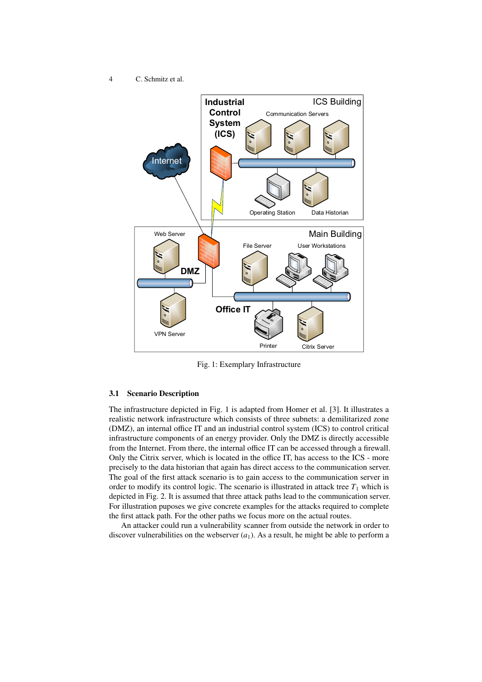<span id="page-3-0"></span>

Fig. 1: Exemplary Infrastructure

## 3.1 Scenario Description

The infrastructure depicted in Fig. [1](#page-3-0) is adapted from Homer et al. [\[3\]](#page-16-2). It illustrates a realistic network infrastructure which consists of three subnets: a demilitarized zone (DMZ), an internal office IT and an industrial control system (ICS) to control critical infrastructure components of an energy provider. Only the DMZ is directly accessible from the Internet. From there, the internal office IT can be accessed through a firewall. Only the Citrix server, which is located in the office IT, has access to the ICS - more precisely to the data historian that again has direct access to the communication server. The goal of the first attack scenario is to gain access to the communication server in order to modify its control logic. The scenario is illustrated in attack tree  $T_1$  which is depicted in Fig. [2.](#page-5-0) It is assumed that three attack paths lead to the communication server. For illustration puposes we give concrete examples for the attacks required to complete the first attack path. For the other paths we focus more on the actual routes.

An attacker could run a vulnerability scanner from outside the network in order to discover vulnerabilities on the webserver  $(a_1)$ . As a result, he might be able to perform a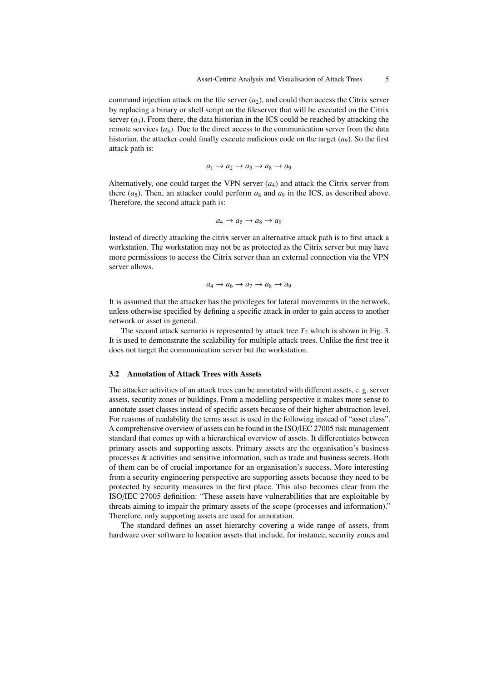command injection attack on the file server  $(a_2)$ , and could then access the Citrix server by replacing a binary or shell script on the fileserver that will be executed on the Citrix server  $(a_3)$ . From there, the data historian in the ICS could be reached by attacking the remote services  $(a_8)$ . Due to the direct access to the communication server from the data historian, the attacker could finally execute malicious code on the target  $(a<sub>9</sub>)$ . So the first attack path is:

$$
a_1 \to a_2 \to a_3 \to a_8 \to a_9
$$

Alternatively, one could target the VPN server  $(a_4)$  and attack the Citrix server from there  $(a_5)$ . Then, an attacker could perform  $a_8$  and  $a_9$  in the ICS, as described above. Therefore, the second attack path is:

$$
a_4 \to a_5 \to a_8 \to a_9
$$

Instead of directly attacking the citrix server an alternative attack path is to first attack a workstation. The workstation may not be as protected as the Citrix server but may have more permissions to access the Citrix server than an external connection via the VPN server allows.

$$
a_4 \to a_6 \to a_7 \to a_8 \to a_9
$$

It is assumed that the attacker has the privileges for lateral movements in the network, unless otherwise specified by defining a specific attack in order to gain access to another network or asset in general.

The second attack scenario is represented by attack tree  $T_2$  which is shown in Fig. [3.](#page-6-0) It is used to demonstrate the scalability for multiple attack trees. Unlike the first tree it does not target the communication server but the workstation.

### 3.2 Annotation of Attack Trees with Assets

The attacker activities of an attack trees can be annotated with different assets, e. g. server assets, security zones or buildings. From a modelling perspective it makes more sense to annotate asset classes instead of specific assets because of their higher abstraction level. For reasons of readability the terms asset is used in the following instead of "asset class". A comprehensive overview of assets can be found in the ISO/IEC 27005 risk management standard that comes up with a hierarchical overview of assets. It differentiates between primary assets and supporting assets. Primary assets are the organisation's business processes & activities and sensitive information, such as trade and business secrets. Both of them can be of crucial importance for an organisation's success. More interesting from a security engineering perspective are supporting assets because they need to be protected by security measures in the first place. This also becomes clear from the ISO/IEC 27005 definition: "These assets have vulnerabilities that are exploitable by threats aiming to impair the primary assets of the scope (processes and information)." Therefore, only supporting assets are used for annotation.

The standard defines an asset hierarchy covering a wide range of assets, from hardware over software to location assets that include, for instance, security zones and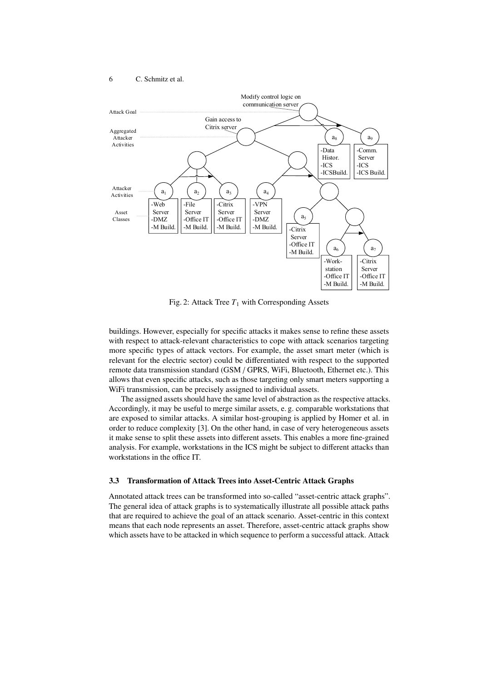<span id="page-5-0"></span>

Fig. 2: Attack Tree  $T_1$  with Corresponding Assets

buildings. However, especially for specific attacks it makes sense to refine these assets with respect to attack-relevant characteristics to cope with attack scenarios targeting more specific types of attack vectors. For example, the asset smart meter (which is relevant for the electric sector) could be differentiated with respect to the supported remote data transmission standard (GSM / GPRS, WiFi, Bluetooth, Ethernet etc.). This allows that even specific attacks, such as those targeting only smart meters supporting a WiFi transmission, can be precisely assigned to individual assets.

The assigned assets should have the same level of abstraction as the respective attacks. Accordingly, it may be useful to merge similar assets, e. g. comparable workstations that are exposed to similar attacks. A similar host-grouping is applied by Homer et al. in order to reduce complexity [\[3\]](#page-16-2). On the other hand, in case of very heterogeneous assets it make sense to split these assets into different assets. This enables a more fine-grained analysis. For example, workstations in the ICS might be subject to different attacks than workstations in the office IT.

#### 3.3 Transformation of Attack Trees into Asset-Centric Attack Graphs

Annotated attack trees can be transformed into so-called "asset-centric attack graphs". The general idea of attack graphs is to systematically illustrate all possible attack paths that are required to achieve the goal of an attack scenario. Asset-centric in this context means that each node represents an asset. Therefore, asset-centric attack graphs show which assets have to be attacked in which sequence to perform a successful attack. Attack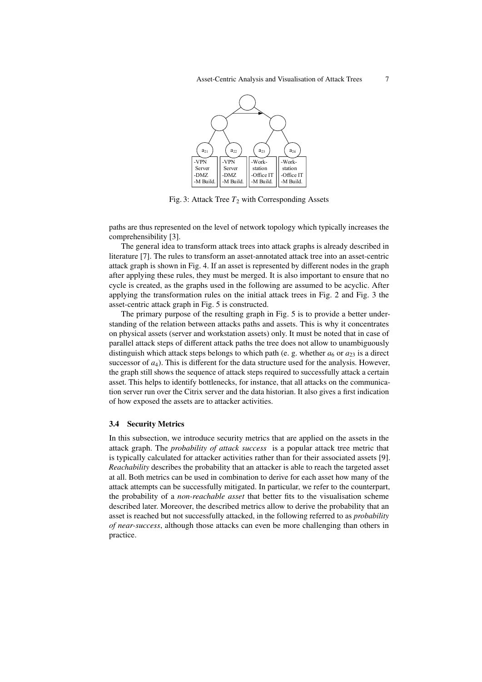<span id="page-6-0"></span>

Fig. 3: Attack Tree  $T_2$  with Corresponding Assets

paths are thus represented on the level of network topology which typically increases the comprehensibility [\[3\]](#page-16-2).

The general idea to transform attack trees into attack graphs is already described in literature [\[7\]](#page-17-13). The rules to transform an asset-annotated attack tree into an asset-centric attack graph is shown in Fig. [4.](#page-7-0) If an asset is represented by different nodes in the graph after applying these rules, they must be merged. It is also important to ensure that no cycle is created, as the graphs used in the following are assumed to be acyclic. After applying the transformation rules on the initial attack trees in Fig. [2](#page-5-0) and Fig. [3](#page-6-0) the asset-centric attack graph in Fig. [5](#page-8-0) is constructed.

The primary purpose of the resulting graph in Fig. [5](#page-8-0) is to provide a better understanding of the relation between attacks paths and assets. This is why it concentrates on physical assets (server and workstation assets) only. It must be noted that in case of parallel attack steps of different attack paths the tree does not allow to unambiguously distinguish which attack steps belongs to which path (e. g. whether  $a_6$  or  $a_{23}$  is a direct successor of  $a_4$ ). This is different for the data structure used for the analysis. However, the graph still shows the sequence of attack steps required to successfully attack a certain asset. This helps to identify bottlenecks, for instance, that all attacks on the communication server run over the Citrix server and the data historian. It also gives a first indication of how exposed the assets are to attacker activities.

### <span id="page-6-1"></span>3.4 Security Metrics

In this subsection, we introduce security metrics that are applied on the assets in the attack graph. The *probability of attack success* is a popular attack tree metric that is typically calculated for attacker activities rather than for their associated assets [\[9\]](#page-17-1). *Reachability* describes the probability that an attacker is able to reach the targeted asset at all. Both metrics can be used in combination to derive for each asset how many of the attack attempts can be successfully mitigated. In particular, we refer to the counterpart, the probability of a *non-reachable asset* that better fits to the visualisation scheme described later. Moreover, the described metrics allow to derive the probability that an asset is reached but not successfully attacked, in the following referred to as *probability of near-success*, although those attacks can even be more challenging than others in practice.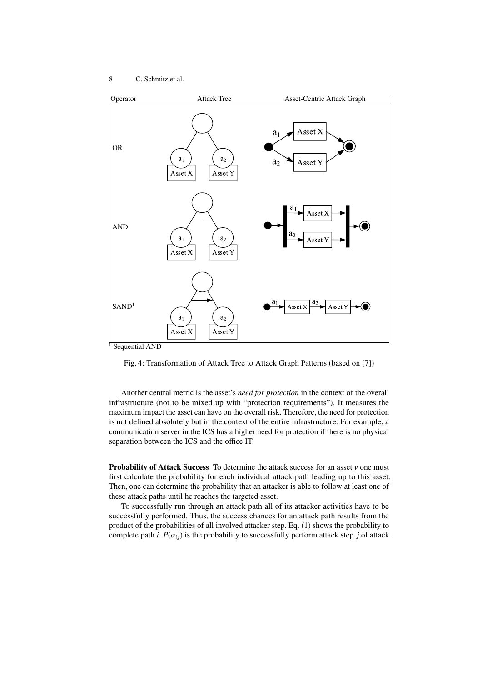<span id="page-7-0"></span>



Another central metric is the asset's *need for protection* in the context of the overall infrastructure (not to be mixed up with "protection requirements"). It measures the maximum impact the asset can have on the overall risk. Therefore, the need for protection is not defined absolutely but in the context of the entire infrastructure. For example, a communication server in the ICS has a higher need for protection if there is no physical separation between the ICS and the office IT.

**Probability of Attack Success** To determine the attack success for an asset *v* one must first calculate the probability for each individual attack path leading up to this asset. Then, one can determine the probability that an attacker is able to follow at least one of these attack paths until he reaches the targeted asset.

To successfully run through an attack path all of its attacker activities have to be successfully performed. Thus, the success chances for an attack path results from the product of the probabilities of all involved attacker step. Eq. [\(1\)](#page-8-1) shows the probability to complete path *i*.  $P(\alpha_{ij})$  is the probability to successfully perform attack step *j* of attack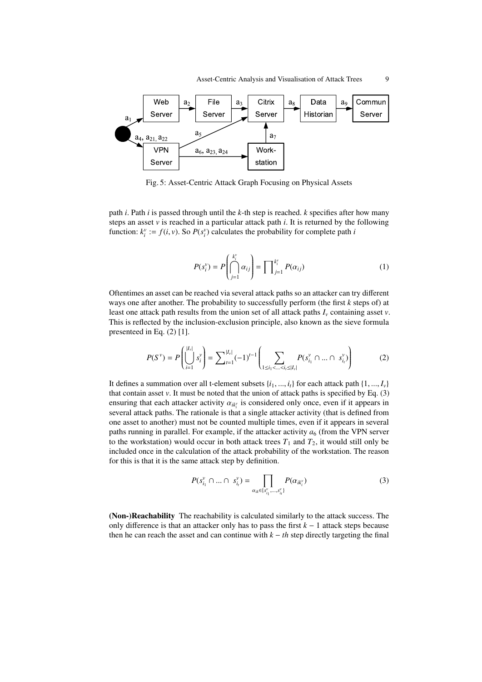<span id="page-8-0"></span>

Fig. 5: Asset-Centric Attack Graph Focusing on Physical Assets

path *i*. Path *i* is passed through until the *k*-th step is reached. *k* specifies after how many steps an asset  $\nu$  is reached in a particular attack path  $i$ . It is returned by the following function:  $k_i^v := f(i, v)$ . So  $P(s_i^v)$  calculates the probability for complete path *i* 

<span id="page-8-2"></span><span id="page-8-1"></span>
$$
P(s_i^v) = P\left(\bigcap_{j=1}^{k_i^v} \alpha_{ij}\right) = \prod_{j=1}^{k_i^v} P(\alpha_{ij})
$$
\n(1)

Oftentimes an asset can be reached via several attack paths so an attacker can try different ways one after another. The probability to successfully perform (the first *k* steps of) at least one attack path results from the union set of all attack paths *I<sup>v</sup>* containing asset *v*. This is reflected by the inclusion-exclusion principle, also known as the sieve formula presenteed in Eq. [\(2\)](#page-8-2) [\[1\]](#page-16-5).

$$
P(S^{\nu}) = P\left(\bigcup_{i=1}^{|I_{\nu}|} s_i^{\nu}\right) = \sum_{t=1}^{|I_{\nu}|} (-1)^{t-1} \left(\sum_{1 \le i_1 < \ldots < i_t \le |I_{\nu}|} P(s_{i_1}^{\nu} \cap \ldots \cap s_{i_t}^{\nu})\right) \tag{2}
$$

It defines a summation over all t-element subsets  $\{i_1, ..., i_t\}$  for each attack path  $\{1, ..., I_v\}$ that contain asset  $v$ . It must be noted that the union of attack paths is specified by Eq.  $(3)$ ensuring that each attacker activity  $\alpha_{ik_i^{\gamma}}$  is considered only once, even if it appears in several attack paths. The rationale is that a single attacker activity (that is defined from several attack paths. The rationale is that a single attacker activity (that is defined from one asset to another) must not be counted multiple times, even if it appears in several paths running in parallel. For example, if the attacker activity  $a_6$  (from the VPN server to the workstation) would occur in both attack trees  $T_1$  and  $T_2$ , it would still only be included once in the calculation of the attack probability of the workstation. The reason for this is that it is the same attack step by definition.

<span id="page-8-3"></span>
$$
P(s_{i_1}^v \cap ... \cap s_{i_t}^v) = \prod_{\alpha_{ik} \in \{s_{i_1}^v, ..., s_{i_t}^v\}} P(\alpha_{ik_i^v})
$$
(3)

(Non-)Reachability The reachability is calculated similarly to the attack success. The only difference is that an attacker only has to pass the first *k* − 1 attack steps because then he can reach the asset and can continue with  $k - th$  step directly targeting the final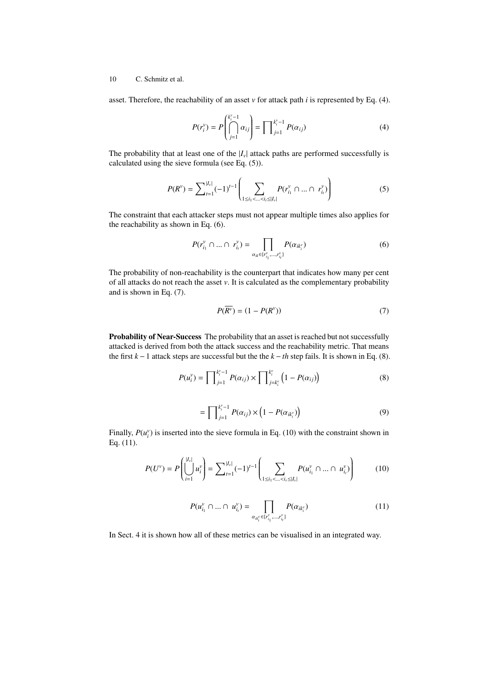asset. Therefore, the reachability of an asset *v* for attack path *i* is represented by Eq. [\(4\)](#page-9-0).

<span id="page-9-0"></span>
$$
P(r_i^{\nu}) = P\left(\bigcap_{j=1}^{k_i^{\nu}-1} \alpha_{ij}\right) = \prod_{j=1}^{k_i^{\nu}-1} P(\alpha_{ij})
$$
\n(4)

The probability that at least one of the  $|I_v|$  attack paths are performed successfully is calculated using the sieve formula (see Eq. [\(5\)](#page-9-1)).

$$
P(R^{\nu}) = \sum_{t=1}^{|I_{\nu}|} (-1)^{t-1} \left( \sum_{1 \le i_1 < \ldots < i_t \le |I_{\nu}|} P(r_{i_1}^{\nu} \cap \ldots \cap r_{i_t}^{\nu}) \right) \tag{5}
$$

The constraint that each attacker steps must not appear multiple times also applies for the reachability as shown in Eq. [\(6\)](#page-9-2).

<span id="page-9-1"></span>
$$
P(r_{i_1}^v \cap ... \cap r_{i_t}^v) = \prod_{\alpha_{ik} \in \{r_{i_1}^v, ..., r_{i_t}^v\}} P(\alpha_{ik_i^v})
$$
 (6)

The probability of non-reachability is the counterpart that indicates how many per cent of all attacks do not reach the asset *v*. It is calculated as the complementary probability and is shown in Eq. [\(7\)](#page-9-3).

<span id="page-9-4"></span><span id="page-9-3"></span><span id="page-9-2"></span>
$$
P(\overline{R^{\nu}}) = (1 - P(R^{\nu}))
$$
\n<sup>(7)</sup>

Probability of Near-Success The probability that an asset is reached but not successfully attacked is derived from both the attack success and the reachability metric. That means the first  $k - 1$  attack steps are successful but the the  $k - th$  step fails. It is shown in Eq. [\(8\)](#page-9-4).

$$
P(u_i^{\nu}) = \prod_{j=1}^{k_i^{\nu}-1} P(\alpha_{ij}) \times \prod_{j=k_i^{\nu}}^{k_i^{\nu}} \left(1 - P(\alpha_{ij})\right)
$$
(8)

<span id="page-9-5"></span>
$$
= \prod_{j=1}^{k_i^{\nu}-1} P(\alpha_{ij}) \times \left(1 - P(\alpha_{ik_i^{\nu}})\right) \tag{9}
$$

Finally,  $P(u_i^v)$  is inserted into the sieve formula in Eq. [\(10\)](#page-9-5) with the constraint shown in Eq. [\(11\)](#page-9-6).

$$
P(U^{\nu}) = P\left(\bigcup_{i=1}^{|I_{\nu}|} u_i^{\nu}\right) = \sum_{i=1}^{|I_{\nu}|} (-1)^{t-1} \left(\sum_{1 \le i_1 < \dots < i_r \le |I_{\nu}|} P(u_{i_1}^{\nu} \cap \dots \cap u_{i_r}^{\nu})\right) \tag{10}
$$

<span id="page-9-6"></span>
$$
P(u_{i_1}^v \cap ... \cap u_{i_t}^v) = \prod_{\alpha_{ik_i}^v \in \{r_{i_1}^v, ..., r_{i_t}^v\}} P(\alpha_{ik_i^v})
$$
\n(11)

In Sect. 4 it is shown how all of these metrics can be visualised in an integrated way.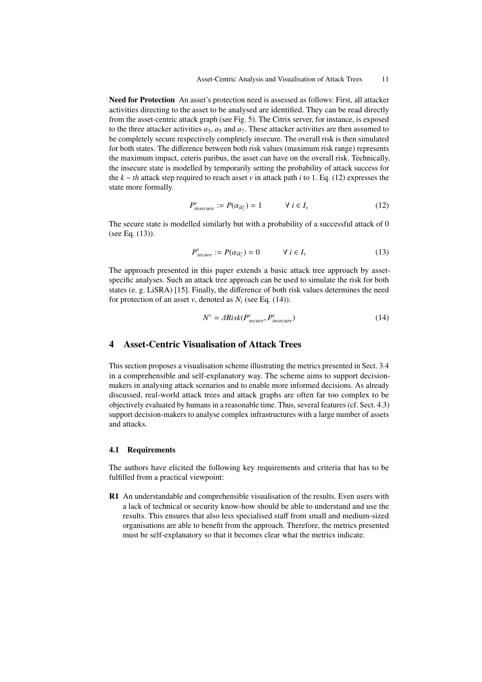Need for Protection An asset's protection need is assessed as follows: First, all attacker activities directing to the asset to be analysed are identified. They can be read directly from the asset-centric attack graph (see Fig. [5\)](#page-8-0). The Citrix server, for instance, is exposed to the three attacker activities  $a_3$ ,  $a_5$  and  $a_7$ . These attacker activities are then assumed to be completely secure respectively completely insecure. The overall risk is then simulated for both states. The difference between both risk values (maximum risk range) represents the maximum impact, ceteris paribus, the asset can have on the overall risk. Technically, the insecure state is modelled by temporarily setting the probability of attack success for the *k* − *th* attack step required to reach asset *v* in attack path *i* to 1. Eq. [\(12\)](#page-10-1) expresses the state more formally.

<span id="page-10-1"></span>
$$
P_{insecure}^{\nu} := P(\alpha_{ik_i^{\nu}}) = 1 \qquad \forall \ i \in I_{\nu}
$$
 (12)

The secure state is modelled similarly but with a probability of a successful attack of 0 (see Eq. [\(13\)](#page-10-2)).

<span id="page-10-2"></span>
$$
P_{secure}^{\nu} := P(\alpha_{ik_i^{\nu}}) = 0 \qquad \forall \ i \in I_{\nu}
$$
 (13)

The approach presented in this paper extends a basic attack tree approach by assetspecific analyses. Such an attack tree approach can be used to simulate the risk for both states (e. g. LiSRA) [\[15\]](#page-17-0). Finally, the difference of both risk values determines the need for protection of an asset *v*, denoted as  $N_i$  (see Eq. [\(14\)](#page-10-3)).

<span id="page-10-3"></span>
$$
N^{\nu} = \text{ARisk}(P_{secure}^{\nu}, P_{insecure}^{\nu})
$$
\n(14)

# <span id="page-10-0"></span>4 Asset-Centric Visualisation of Attack Trees

This section proposes a visualisation scheme illustrating the metrics presented in Sect. [3.4](#page-6-1) in a comprehensible and self-explanatory way. The scheme aims to support decisionmakers in analysing attack scenarios and to enable more informed decisions. As already discussed, real-world attack trees and attack graphs are often far too complex to be objectively evaluated by humans in a reasonable time. Thus, several features (cf. Sect. [4.3\)](#page-12-0) support decision-makers to analyse complex infrastructures with a large number of assets and attacks.

### 4.1 Requirements

The authors have elicited the following key requirements and criteria that has to be fulfilled from a practical viewpoint:

R1 An understandable and comprehensible visualisation of the results. Even users with a lack of technical or security know-how should be able to understand and use the results. This ensures that also less specialised staff from small and medium-sized organisations are able to benefit from the approach. Therefore, the metrics presented must be self-explanatory so that it becomes clear what the metrics indicate.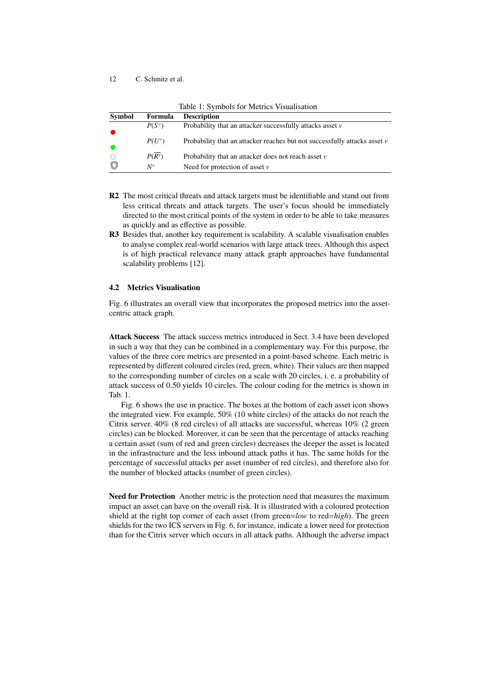<span id="page-11-0"></span>

| Table 1. Symbols for Metrics visualisation |              |                                                                               |
|--------------------------------------------|--------------|-------------------------------------------------------------------------------|
| <b>Symbol</b>                              | Formula      | <b>Description</b>                                                            |
| $\bullet$                                  | $P(S^{\nu})$ | Probability that an attacker successfully attacks asset $\nu$                 |
| $\bullet$                                  | $P(U^{\nu})$ | Probability that an attacker reaches but not successfully attacks asset $\nu$ |
| $\circlearrowright$                        | $P(R^{\nu})$ | Probability that an attacker does not reach asset $\nu$                       |
| $\circledcirc$                             | $N^v$        | Need for protection of asset $\nu$                                            |

Table 1: Symbols for Metrics Visualisation

- R2 The most critical threats and attack targets must be identifiable and stand out from less critical threats and attack targets. The user's focus should be immediately directed to the most critical points of the system in order to be able to take measures as quickly and as effective as possible.
- R3 Besides that, another key requirement is scalability. A scalable visualisation enables to analyse complex real-world scenarios with large attack trees. Although this aspect is of high practical relevance many attack graph approaches have fundamental scalability problems [\[12\]](#page-17-11).

## 4.2 Metrics Visualisation

Fig. [6](#page-12-1) illustrates an overall view that incorporates the proposed metrics into the assetcentric attack graph.

Attack Success The attack success metrics introduced in Sect. [3.4](#page-6-1) have been developed in such a way that they can be combined in a complementary way. For this purpose, the values of the three core metrics are presented in a point-based scheme. Each metric is represented by different coloured circles (red, green, white). Their values are then mapped to the corresponding number of circles on a scale with 20 circles, i. e. a probability of attack success of 0.50 yields 10 circles. The colour coding for the metrics is shown in Tab. [1.](#page-11-0)

Fig. [6](#page-12-1) shows the use in practice. The boxes at the bottom of each asset icon shows the integrated view. For example, 50% (10 white circles) of the attacks do not reach the Citrix server. 40% (8 red circles) of all attacks are successful, whereas 10% (2 green circles) can be blocked. Moreover, it can be seen that the percentage of attacks reaching a certain asset (sum of red and green circles) decreases the deeper the asset is located in the infrastructure and the less inbound attack paths it has. The same holds for the percentage of successful attacks per asset (number of red circles), and therefore also for the number of blocked attacks (number of green circles).

Need for Protection Another metric is the protection need that measures the maximum impact an asset can have on the overall risk. It is illustrated with a coloured protection shield at the right top corner of each asset (from green=*low* to red=*high*). The green shields for the two ICS servers in Fig. [6,](#page-12-1) for instance, indicate a lower need for protection than for the Citrix server which occurs in all attack paths. Although the adverse impact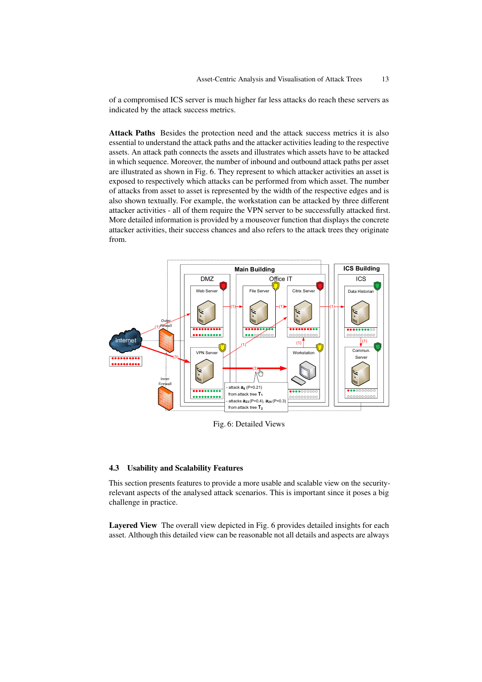of a compromised ICS server is much higher far less attacks do reach these servers as indicated by the attack success metrics.

Attack Paths Besides the protection need and the attack success metrics it is also essential to understand the attack paths and the attacker activities leading to the respective assets. An attack path connects the assets and illustrates which assets have to be attacked in which sequence. Moreover, the number of inbound and outbound attack paths per asset are illustrated as shown in Fig. [6.](#page-12-1) They represent to which attacker activities an asset is exposed to respectively which attacks can be performed from which asset. The number of attacks from asset to asset is represented by the width of the respective edges and is also shown textually. For example, the workstation can be attacked by three different attacker activities - all of them require the VPN server to be successfully attacked first. More detailed information is provided by a mouseover function that displays the concrete attacker activities, their success chances and also refers to the attack trees they originate from.

<span id="page-12-1"></span>

Fig. 6: Detailed Views

### <span id="page-12-0"></span>4.3 Usability and Scalability Features

This section presents features to provide a more usable and scalable view on the securityrelevant aspects of the analysed attack scenarios. This is important since it poses a big challenge in practice.

Layered View The overall view depicted in Fig. [6](#page-12-1) provides detailed insights for each asset. Although this detailed view can be reasonable not all details and aspects are always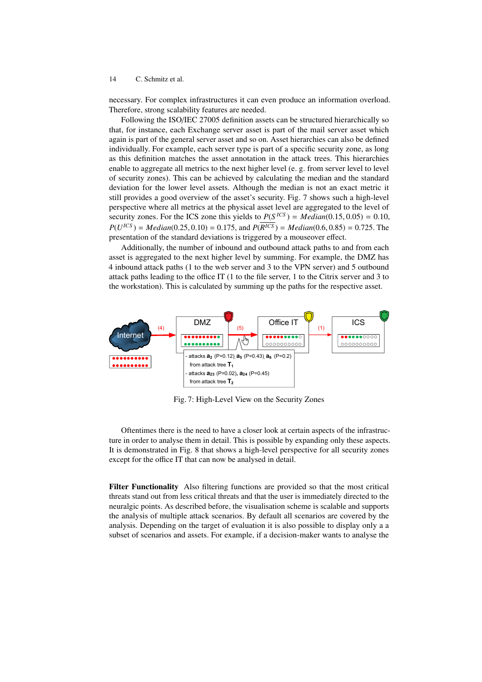necessary. For complex infrastructures it can even produce an information overload. Therefore, strong scalability features are needed.

Following the ISO/IEC 27005 definition assets can be structured hierarchically so that, for instance, each Exchange server asset is part of the mail server asset which again is part of the general server asset and so on. Asset hierarchies can also be defined individually. For example, each server type is part of a specific security zone, as long as this definition matches the asset annotation in the attack trees. This hierarchies enable to aggregate all metrics to the next higher level (e. g. from server level to level of security zones). This can be achieved by calculating the median and the standard deviation for the lower level assets. Although the median is not an exact metric it still provides a good overview of the asset's security. Fig. [7](#page-13-0) shows such a high-level perspective where all metrics at the physical asset level are aggregated to the level of security zones. For the ICS zone this yields to  $P(S^{ICS}) = Median(0.15, 0.05) = 0.10$ ,<br> $P(U^{ICS}) = Median(0.25, 0.10) = 0.175$  and  $P(D^{ICS}) = Median(0.6, 0.85) = 0.725$ . The  $P(U^{ICS}) = Median(0.25, 0.10) = 0.175$ , and  $P(R^{ICS}) = Median(0.6, 0.85) = 0.725$ . The presentation of the standard deviations is triggered by a mouse over effect presentation of the standard deviations is triggered by a mouseover effect.

Additionally, the number of inbound and outbound attack paths to and from each asset is aggregated to the next higher level by summing. For example, the DMZ has 4 inbound attack paths (1 to the web server and 3 to the VPN server) and 5 outbound attack paths leading to the office IT (1 to the file server, 1 to the Citrix server and 3 to the workstation). This is calculated by summing up the paths for the respective asset.

<span id="page-13-0"></span>

Fig. 7: High-Level View on the Security Zones

Oftentimes there is the need to have a closer look at certain aspects of the infrastructure in order to analyse them in detail. This is possible by expanding only these aspects. It is demonstrated in Fig. [8](#page-14-1) that shows a high-level perspective for all security zones except for the office IT that can now be analysed in detail.

Filter Functionality Also filtering functions are provided so that the most critical threats stand out from less critical threats and that the user is immediately directed to the neuralgic points. As described before, the visualisation scheme is scalable and supports the analysis of multiple attack scenarios. By default all scenarios are covered by the analysis. Depending on the target of evaluation it is also possible to display only a a subset of scenarios and assets. For example, if a decision-maker wants to analyse the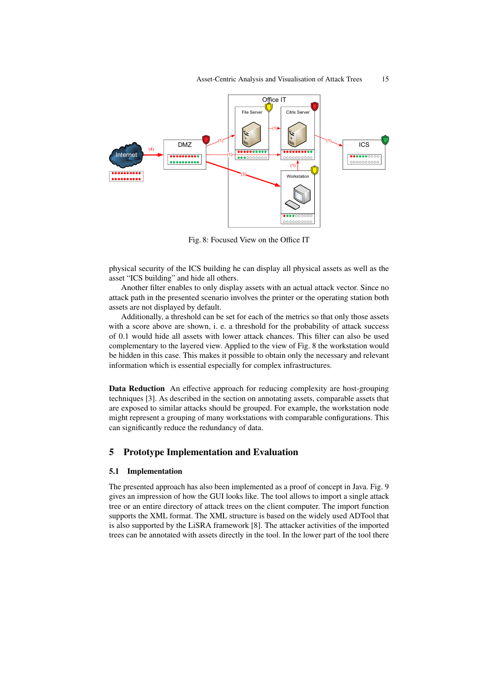<span id="page-14-1"></span>

Fig. 8: Focused View on the Office IT

physical security of the ICS building he can display all physical assets as well as the asset "ICS building" and hide all others.

Another filter enables to only display assets with an actual attack vector. Since no attack path in the presented scenario involves the printer or the operating station both assets are not displayed by default.

Additionally, a threshold can be set for each of the metrics so that only those assets with a score above are shown, i. e. a threshold for the probability of attack success of 0.1 would hide all assets with lower attack chances. This filter can also be used complementary to the layered view. Applied to the view of Fig. [8](#page-14-1) the workstation would be hidden in this case. This makes it possible to obtain only the necessary and relevant information which is essential especially for complex infrastructures.

Data Reduction An effective approach for reducing complexity are host-grouping techniques [\[3\]](#page-16-2). As described in the section on annotating assets, comparable assets that are exposed to similar attacks should be grouped. For example, the workstation node might represent a grouping of many workstations with comparable configurations. This can significantly reduce the redundancy of data.

# <span id="page-14-0"></span>5 Prototype Implementation and Evaluation

## 5.1 Implementation

The presented approach has also been implemented as a proof of concept in Java. Fig. [9](#page-15-0) gives an impression of how the GUI looks like. The tool allows to import a single attack tree or an entire directory of attack trees on the client computer. The import function supports the XML format. The XML structure is based on the widely used ADTool that is also supported by the LiSRA framework [\[8\]](#page-17-4). The attacker activities of the imported trees can be annotated with assets directly in the tool. In the lower part of the tool there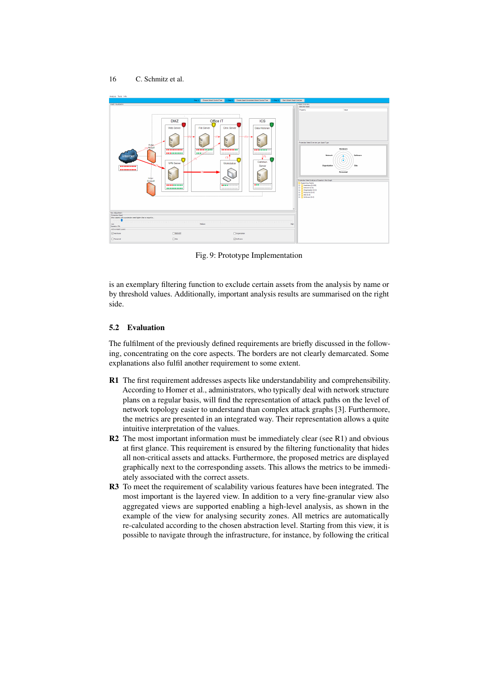<span id="page-15-0"></span>

Fig. 9: Prototype Implementation

is an exemplary filtering function to exclude certain assets from the analysis by name or by threshold values. Additionally, important analysis results are summarised on the right side.

## 5.2 Evaluation

The fulfilment of the previously defined requirements are briefly discussed in the following, concentrating on the core aspects. The borders are not clearly demarcated. Some explanations also fulfil another requirement to some extent.

- R1 The first requirement addresses aspects like understandability and comprehensibility. According to Homer et al., administrators, who typically deal with network structure plans on a regular basis, will find the representation of attack paths on the level of network topology easier to understand than complex attack graphs [\[3\]](#page-16-2). Furthermore, the metrics are presented in an integrated way. Their representation allows a quite intuitive interpretation of the values.
- R2 The most important information must be immediately clear (see R1) and obvious at first glance. This requirement is ensured by the filtering functionality that hides all non-critical assets and attacks. Furthermore, the proposed metrics are displayed graphically next to the corresponding assets. This allows the metrics to be immediately associated with the correct assets.
- R3 To meet the requirement of scalability various features have been integrated. The most important is the layered view. In addition to a very fine-granular view also aggregated views are supported enabling a high-level analysis, as shown in the example of the view for analysing security zones. All metrics are automatically re-calculated according to the chosen abstraction level. Starting from this view, it is possible to navigate through the infrastructure, for instance, by following the critical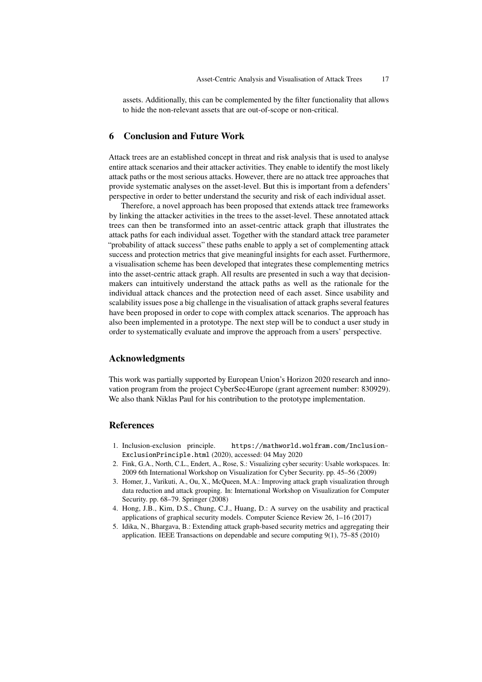assets. Additionally, this can be complemented by the filter functionality that allows to hide the non-relevant assets that are out-of-scope or non-critical.

# <span id="page-16-0"></span>6 Conclusion and Future Work

Attack trees are an established concept in threat and risk analysis that is used to analyse entire attack scenarios and their attacker activities. They enable to identify the most likely attack paths or the most serious attacks. However, there are no attack tree approaches that provide systematic analyses on the asset-level. But this is important from a defenders' perspective in order to better understand the security and risk of each individual asset.

Therefore, a novel approach has been proposed that extends attack tree frameworks by linking the attacker activities in the trees to the asset-level. These annotated attack trees can then be transformed into an asset-centric attack graph that illustrates the attack paths for each individual asset. Together with the standard attack tree parameter "probability of attack success" these paths enable to apply a set of complementing attack success and protection metrics that give meaningful insights for each asset. Furthermore, a visualisation scheme has been developed that integrates these complementing metrics into the asset-centric attack graph. All results are presented in such a way that decisionmakers can intuitively understand the attack paths as well as the rationale for the individual attack chances and the protection need of each asset. Since usability and scalability issues pose a big challenge in the visualisation of attack graphs several features have been proposed in order to cope with complex attack scenarios. The approach has also been implemented in a prototype. The next step will be to conduct a user study in order to systematically evaluate and improve the approach from a users' perspective.

# Acknowledgments

This work was partially supported by European Union's Horizon 2020 research and innovation program from the project CyberSec4Europe (grant agreement number: 830929). We also thank Niklas Paul for his contribution to the prototype implementation.

# References

- <span id="page-16-5"></span>1. Inclusion-exclusion principle. [https://mathworld.wolfram.com/Inclusion-](https://mathworld.wolfram.com/Inclusion-ExclusionPrinciple.html)[ExclusionPrinciple.html](https://mathworld.wolfram.com/Inclusion-ExclusionPrinciple.html) (2020), accessed: 04 May 2020
- <span id="page-16-4"></span>2. Fink, G.A., North, C.L., Endert, A., Rose, S.: Visualizing cyber security: Usable workspaces. In: 2009 6th International Workshop on Visualization for Cyber Security. pp. 45–56 (2009)
- <span id="page-16-2"></span>3. Homer, J., Varikuti, A., Ou, X., McQueen, M.A.: Improving attack graph visualization through data reduction and attack grouping. In: International Workshop on Visualization for Computer Security. pp. 68–79. Springer (2008)
- <span id="page-16-3"></span>4. Hong, J.B., Kim, D.S., Chung, C.J., Huang, D.: A survey on the usability and practical applications of graphical security models. Computer Science Review 26, 1–16 (2017)
- <span id="page-16-1"></span>5. Idika, N., Bhargava, B.: Extending attack graph-based security metrics and aggregating their application. IEEE Transactions on dependable and secure computing 9(1), 75–85 (2010)